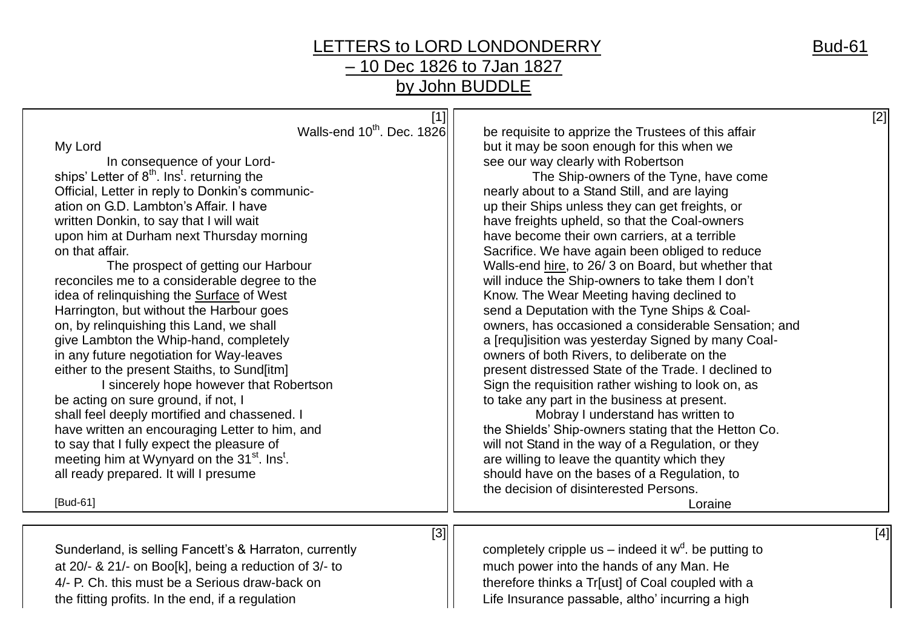## LETTERS to LORD LONDONDERRY Bud-61 – 10 Dec 1826 to 7Jan 1827 by John BUDDLE

| $[1]$<br>Walls-end 10 <sup>th</sup> . Dec. 1826                     | [2]<br>be requisite to apprize the Trustees of this affair |
|---------------------------------------------------------------------|------------------------------------------------------------|
| My Lord                                                             | but it may be soon enough for this when we                 |
| In consequence of your Lord-                                        | see our way clearly with Robertson                         |
| ships' Letter of 8 <sup>th</sup> . Ins <sup>t</sup> . returning the | The Ship-owners of the Tyne, have come                     |
| Official, Letter in reply to Donkin's communic-                     | nearly about to a Stand Still, and are laying              |
| ation on G.D. Lambton's Affair. I have                              | up their Ships unless they can get freights, or            |
| written Donkin, to say that I will wait                             | have freights upheld, so that the Coal-owners              |
| upon him at Durham next Thursday morning                            | have become their own carriers, at a terrible              |
| on that affair.                                                     | Sacrifice. We have again been obliged to reduce            |
| The prospect of getting our Harbour                                 | Walls-end hire, to 26/3 on Board, but whether that         |
| reconciles me to a considerable degree to the                       | will induce the Ship-owners to take them I don't           |
| idea of relinquishing the Surface of West                           | Know. The Wear Meeting having declined to                  |
| Harrington, but without the Harbour goes                            | send a Deputation with the Tyne Ships & Coal-              |
| on, by relinguishing this Land, we shall                            | owners, has occasioned a considerable Sensation; and       |
| give Lambton the Whip-hand, completely                              | a [requ]isition was yesterday Signed by many Coal-         |
| in any future negotiation for Way-leaves                            | owners of both Rivers, to deliberate on the                |
| either to the present Staiths, to Sund[itm]                         | present distressed State of the Trade. I declined to       |
| I sincerely hope however that Robertson                             | Sign the requisition rather wishing to look on, as         |
| be acting on sure ground, if not, I                                 | to take any part in the business at present.               |
| shall feel deeply mortified and chassened. I                        | Mobray I understand has written to                         |
| have written an encouraging Letter to him, and                      | the Shields' Ship-owners stating that the Hetton Co.       |
| to say that I fully expect the pleasure of                          | will not Stand in the way of a Regulation, or they         |
| meeting him at Wynyard on the 31 <sup>st</sup> . Ins <sup>t</sup> . | are willing to leave the quantity which they               |
| all ready prepared. It will I presume                               | should have on the bases of a Regulation, to               |
|                                                                     | the decision of disinterested Persons.                     |
| [Bud-61]                                                            | Loraine                                                    |
|                                                                     |                                                            |
| [3]                                                                 | [4]                                                        |
| Sunderland, is selling Fancett's & Harraton, currently              | completely cripple us – indeed it $w^d$ . be putting to    |
| at 20/- & 21/- on Boo[k], being a reduction of 3/- to               | much power into the hands of any Man. He                   |
| 4/- P. Ch. this must be a Serious draw-back on                      | therefore thinks a Tr[ust] of Coal coupled with a          |
| the fitting profits. In the end, if a regulation                    | Life Insurance passable, altho' incurring a high           |
|                                                                     |                                                            |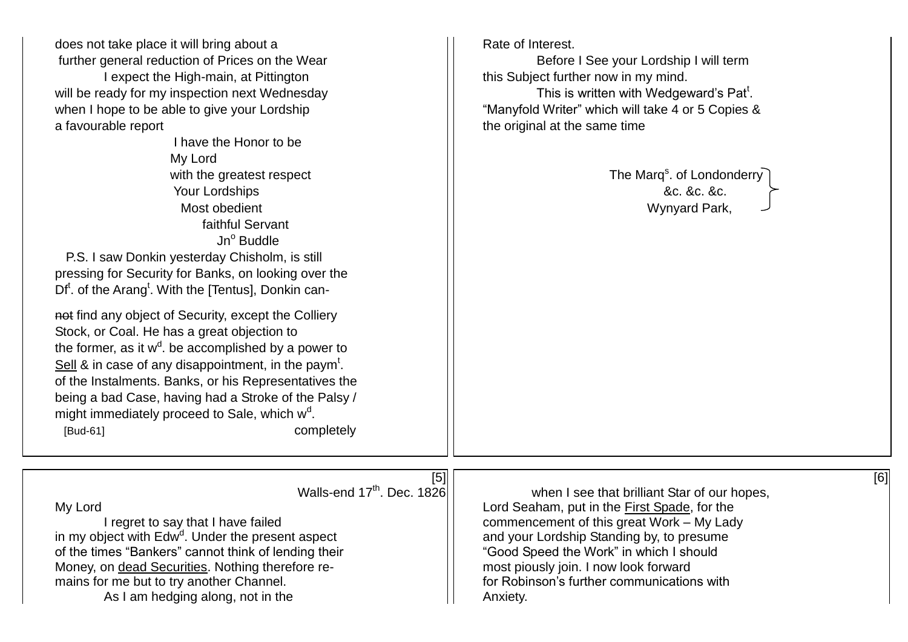| does not take place it will bring about a<br>further general reduction of Prices on the Wear<br>I expect the High-main, at Pittington<br>will be ready for my inspection next Wednesday<br>when I hope to be able to give your Lordship<br>a favourable report<br>I have the Honor to be<br>My Lord<br>with the greatest respect<br>Your Lordships<br>Most obedient<br>faithful Servant<br>Jn <sup>o</sup> Buddle<br>P.S. I saw Donkin yesterday Chisholm, is still<br>pressing for Security for Banks, on looking over the<br>Df <sup>t</sup> . of the Arang <sup>t</sup> . With the [Tentus], Donkin can-<br>not find any object of Security, except the Colliery<br>Stock, or Coal. He has a great objection to<br>the former, as it $w^d$ . be accomplished by a power to<br>Sell $\&$ in case of any disappointment, in the paym <sup>t</sup> .<br>of the Instalments. Banks, or his Representatives the<br>being a bad Case, having had a Stroke of the Palsy /<br>might immediately proceed to Sale, which w <sup>d</sup> .<br>[Bud-61]<br>completely | Rate of Interest.<br>Before I See your Lordship I will term<br>this Subject further now in my mind.<br>This is written with Wedgeward's Pat <sup>t</sup> .<br>"Manyfold Writer" which will take 4 or 5 Copies &<br>the original at the same time<br>The Marq <sup>s</sup> . of Londonderry<br>&c. &c. &c.<br>Wynyard Park,                          |
|--------------------------------------------------------------------------------------------------------------------------------------------------------------------------------------------------------------------------------------------------------------------------------------------------------------------------------------------------------------------------------------------------------------------------------------------------------------------------------------------------------------------------------------------------------------------------------------------------------------------------------------------------------------------------------------------------------------------------------------------------------------------------------------------------------------------------------------------------------------------------------------------------------------------------------------------------------------------------------------------------------------------------------------------------------------|-----------------------------------------------------------------------------------------------------------------------------------------------------------------------------------------------------------------------------------------------------------------------------------------------------------------------------------------------------|
|                                                                                                                                                                                                                                                                                                                                                                                                                                                                                                                                                                                                                                                                                                                                                                                                                                                                                                                                                                                                                                                              |                                                                                                                                                                                                                                                                                                                                                     |
| $[5]$<br>Walls-end 17 <sup>th</sup> . Dec. 1826<br>My Lord<br>I regret to say that I have failed<br>in my object with Edw <sup>d</sup> . Under the present aspect<br>of the times "Bankers" cannot think of lending their<br>Money, on dead Securities. Nothing therefore re-<br>mains for me but to try another Channel.<br>As I am hedging along, not in the                                                                                                                                                                                                                                                                                                                                                                                                                                                                                                                                                                                                                                                                                               | [6]<br>when I see that brilliant Star of our hopes,<br>Lord Seaham, put in the <b>First Spade</b> , for the<br>commencement of this great Work - My Lady<br>and your Lordship Standing by, to presume<br>"Good Speed the Work" in which I should<br>most piously join. I now look forward<br>for Robinson's further communications with<br>Anxiety. |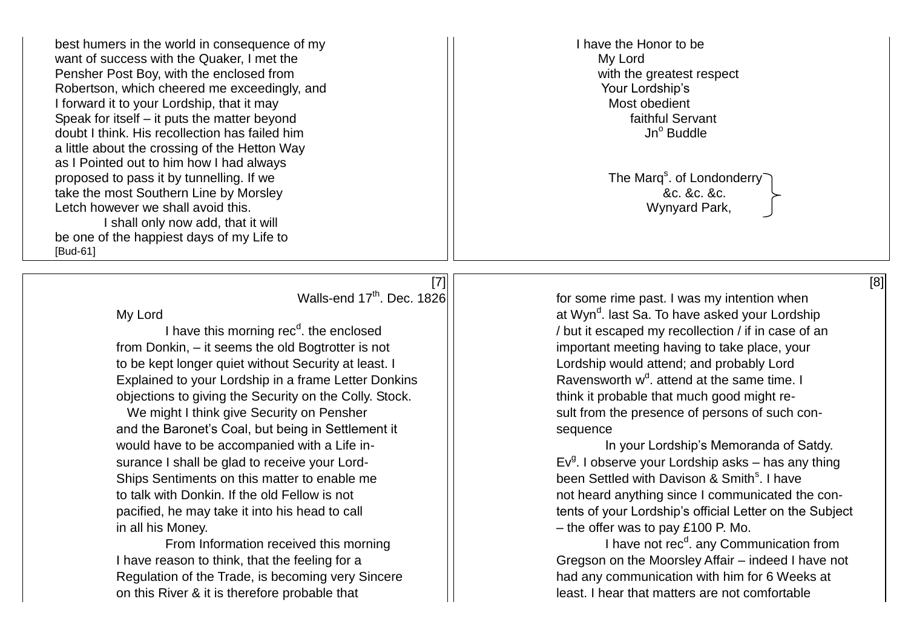best humers in the world in consequence of my I have the Honor to be I have the Honor to be want of success with the Quaker, I met the  $\overline{\phantom{0}}$  My Lord Pensher Post Boy, with the enclosed from New York Washington With the greatest respect Robertson, which cheered me exceedingly, and Your Lordship's I forward it to your Lordship, that it may Most obedient Speak for itself – it puts the matter beyond<br>
doubt I think His recollection has failed him doubt I think. His recollection has failed him a little about the crossing of the Hetton Way as I Pointed out to him how I had always proposed to pass it by tunnelling. If we take the most Southern Line by Morsley &c. &c. &c. Letch however we shall avoid this. Notice that the state of the state of the UV of the Wynyard Park, I shall only now add, that it will be one of the happiest days of my Life to [Bud-61]

I have this morning  $rec<sup>d</sup>$ , the enclosed from Donkin, – it seems the old Bogtrotter is not **important meeting having to take place**, your to be kept longer quiet without Security at least. I and probably Lordship would attend; and probably Lord Explained to your Lordship in a frame Letter Donkins objections to giving the Security on the Colly. Stock.  $\vert \vert$  think it probable that much good might re-

and the Baronet's Coal, but being in Settlement it Fig. in Sequence would have to be accompanied with a Life in-<br>
In your Lordship's Memoranda of Satdy. surance I shall be glad to receive your Lord-Ships Sentiments on this matter to enable me in all his Money. – the offer was to pay £100 P. Mo.

From Information received this morning Regulation of the Trade, is becoming very Sincere **had any communication with him for 6 Weeks at** on this River & it is therefore probable that least. I hear that matters are not comfortable

The Marg<sup>s</sup>. of Londonderry

Walls-end 17<sup>th</sup>, Dec. 1826  $\vert$  for some rime past. I was my intention when My Lord at Wyn<sup>d</sup> at Wyn<sup>d</sup>. last Sa. To have asked your Lordship / but it escaped my recollection / if in case of an Ravensworth  $w^d$ , attend at the same time. I We might I think give Security on Pensher  $\vert\vert$  sult from the presence of persons of such con-

 $Ev<sup>g</sup>$ . I observe your Lordship asks – has any thing been Settled with Davison & Smith<sup>s</sup>. I have to talk with Donkin. If the old Fellow is not not not not heard anything since I communicated the conpacified, he may take it into his head to call  $\vert$  tents of your Lordship's official Letter on the Subject

I have not rec<sup>d</sup>. any Communication from I have reason to think, that the feeling for a second of the Moorsley Affair – indeed I have not

## $[7] \begin{bmatrix} 1 \\ 0 \end{bmatrix}$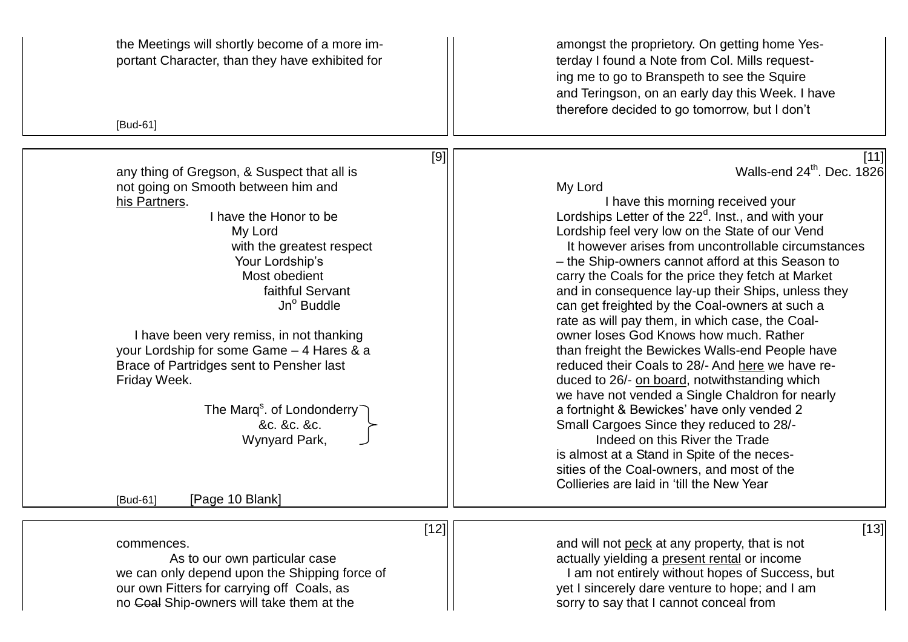| the Meetings will shortly become of a more im-<br>portant Character, than they have exhibited for<br>[Bud-61]                                                                                                                                                                                                                                                                                                                                                                                                                | amongst the proprietory. On getting home Yes-<br>terday I found a Note from Col. Mills request-<br>ing me to go to Branspeth to see the Squire<br>and Teringson, on an early day this Week. I have<br>therefore decided to go tomorrow, but I don't                                                                                                                                                                                                                                                                                                                                                                                                                                                                                                                                                                                                                                                                                                                                                                                                               |
|------------------------------------------------------------------------------------------------------------------------------------------------------------------------------------------------------------------------------------------------------------------------------------------------------------------------------------------------------------------------------------------------------------------------------------------------------------------------------------------------------------------------------|-------------------------------------------------------------------------------------------------------------------------------------------------------------------------------------------------------------------------------------------------------------------------------------------------------------------------------------------------------------------------------------------------------------------------------------------------------------------------------------------------------------------------------------------------------------------------------------------------------------------------------------------------------------------------------------------------------------------------------------------------------------------------------------------------------------------------------------------------------------------------------------------------------------------------------------------------------------------------------------------------------------------------------------------------------------------|
| [9]<br>any thing of Gregson, & Suspect that all is<br>not going on Smooth between him and<br>his Partners.<br>I have the Honor to be<br>My Lord<br>with the greatest respect<br>Your Lordship's<br>Most obedient<br>faithful Servant<br>Jn <sup>o</sup> Buddle<br>I have been very remiss, in not thanking<br>your Lordship for some Game - 4 Hares & a<br>Brace of Partridges sent to Pensher last<br>Friday Week.<br>The Marq <sup>s</sup> . of Londonderry<br>&c. &c. &c.<br>Wynyard Park,<br>[Page 10 Blank]<br>[Bud-61] | [11]<br>Walls-end 24 <sup>th</sup> . Dec. 1826<br>My Lord<br>I have this morning received your<br>Lordships Letter of the $22d$ . Inst., and with your<br>Lordship feel very low on the State of our Vend<br>It however arises from uncontrollable circumstances<br>- the Ship-owners cannot afford at this Season to<br>carry the Coals for the price they fetch at Market<br>and in consequence lay-up their Ships, unless they<br>can get freighted by the Coal-owners at such a<br>rate as will pay them, in which case, the Coal-<br>owner loses God Knows how much. Rather<br>than freight the Bewickes Walls-end People have<br>reduced their Coals to 28/- And here we have re-<br>duced to 26/- on board, notwithstanding which<br>we have not vended a Single Chaldron for nearly<br>a fortnight & Bewickes' have only vended 2<br>Small Cargoes Since they reduced to 28/-<br>Indeed on this River the Trade<br>is almost at a Stand in Spite of the neces-<br>sities of the Coal-owners, and most of the<br>Collieries are laid in 'till the New Year |
| $[12]$<br>commences.<br>As to our own particular case<br>we can only depend upon the Shipping force of<br>our own Fitters for carrying off Coals, as<br>no Coal Ship-owners will take them at the                                                                                                                                                                                                                                                                                                                            | $[13]$<br>and will not peck at any property, that is not<br>actually yielding a present rental or income<br>I am not entirely without hopes of Success, but<br>yet I sincerely dare venture to hope; and I am<br>sorry to say that I cannot conceal from                                                                                                                                                                                                                                                                                                                                                                                                                                                                                                                                                                                                                                                                                                                                                                                                          |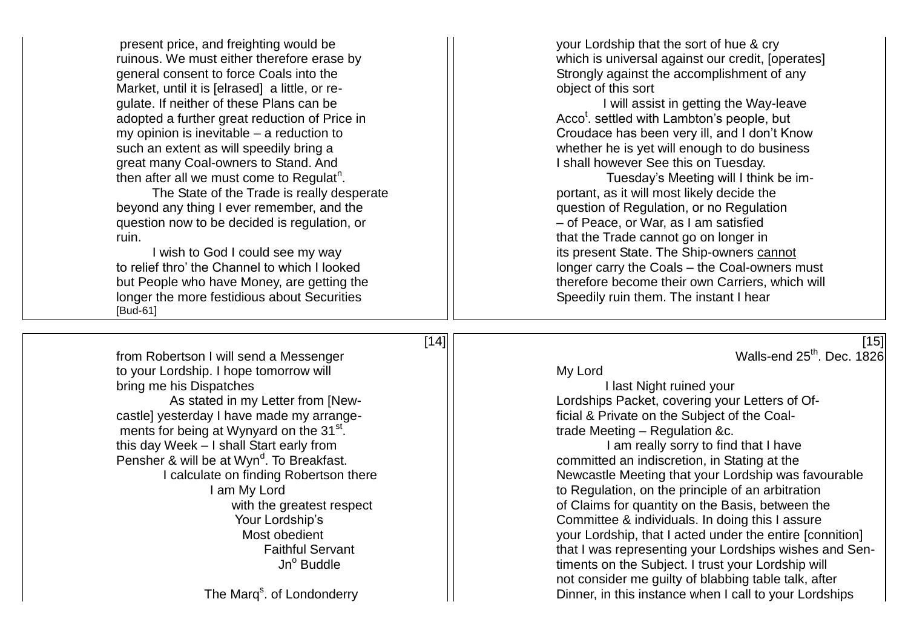present price, and freighting would be your Lordship that the sort of hue & cry general consent to force Coals into the Strongly against the accomplishment of any Market, until it is [elrased] a little, or re- **and it is soft** object of this sort gulate. If neither of these Plans can be I will assist in getting the Way-leave adopted a further great reduction of Price in such an extent as will speedily bring a whether he is yet will enough to do business great many Coal-owners to Stand. And I shall however See this on Tuesday. then after all we must come to Regulat<sup>n</sup>.

The State of the Trade is really desperate **Fig. 1** portant, as it will most likely decide the beyond any thing I ever remember, and the  $\vert \vert$  question of Regulation, or no Regulation question now to be decided is regulation, or – of Peace, or War, as I am satisfied ruin. That the Trade cannot go on longer in

I wish to God I could see my way **its present State. The Ship-owners** cannot to relief thro' the Channel to which I looked **inter the Contagent State.** The Ship-owners relief thro' the Channel to which I looked longer the more festidious about Securities [Bud-61]

from Robertson I will send a Messenger New York Changes and Contract and Contract Manuson of the Walls-end 25<sup>th</sup>. Dec. 1826 to your Lordship. I hope tomorrow will see the same state of the My Lord bring me his Dispatches **I last Night ruined your** castle] yesterday I have made my arrange- **Fig. 1** [1] Fig. 2 [1] ficial & Private on the Subject of the Coalments for being at Wynyard on the 31<sup>st</sup>. this day Week – I shall Start early from I am really sorry to find that I have Pensher & will be at Wyn<sup>d</sup>. To Breakfast.

The Marg<sup>s</sup>. of Londonderry

ruinous. We must either therefore erase by **the substitution of the set of the vertex** which is universal against our credit, [operates]

Acco<sup>t</sup>. settled with Lambton's people, but my opinion is inevitable – a reduction to **CRO Croudace has been very ill, and I don't Know** 

. Tuesday's Meeting will I think be im longer carry the Coals – the Coal-owners must but People who have Money, are getting the the therefore become their own Carriers, which will<br>
longer the more festidious about Securities<br>
longer the more festidious about Securities<br>
longer the more festidious about Sec

As stated in my Letter from [New- III Lordships Packet, covering your Letters of Of-. trade Meeting – Regulation &c.

 $[14]$  [15]

committed an indiscretion, in Stating at the I calculate on finding Robertson there  $\vert \vert$  Newcastle Meeting that your Lordship was favourable I am My Lord **I** am My Lord **to Regulation**, on the principle of an arbitration with the greatest respect  $\lvert \cdot \rvert$  of Claims for quantity on the Basis, between the Your Lordship's The Committee & individuals. In doing this I assure Most obedient your Lordship, that I acted under the entire [connition] Faithful Servant That I was representing your Lordships wishes and Sen-Jn<sup>o</sup> Buddle **timents on the Subject.** I trust your Lordship will not consider me guilty of blabbing table talk, after Dinner, in this instance when I call to your Lordships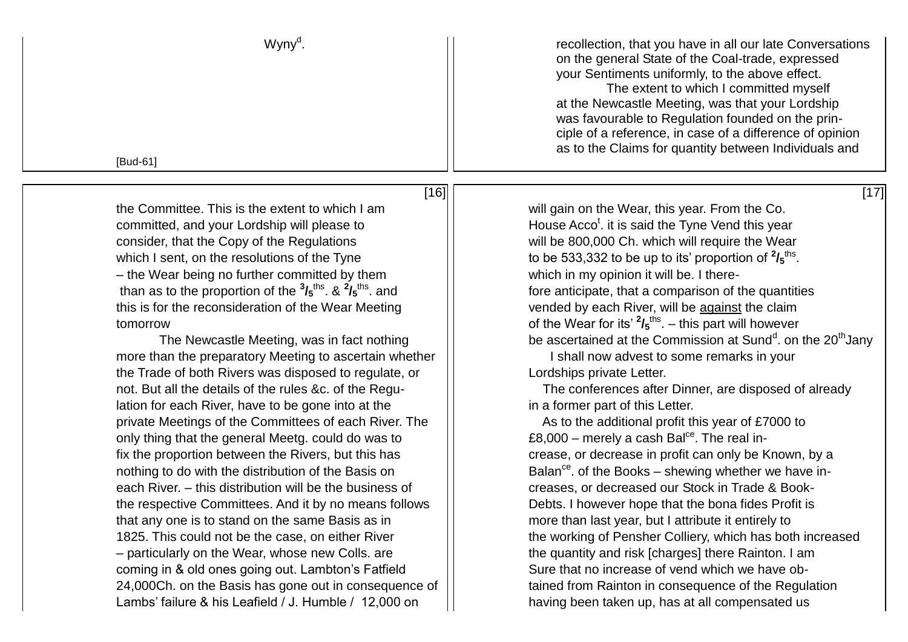| Wyny <sup>d</sup> . | recollection, that you have in all our late Conversations<br>on the general State of the Coal-trade, expressed<br>your Sentiments uniformly, to the above effect.<br>The extent to which I committed myself<br>at the Newcastle Meeting, was that your Lordship<br>was favourable to Regulation founded on the prin- |
|---------------------|----------------------------------------------------------------------------------------------------------------------------------------------------------------------------------------------------------------------------------------------------------------------------------------------------------------------|
|                     | ciple of a reference, in case of a difference of opinion<br>as to the Claims for quantity between Individuals and                                                                                                                                                                                                    |
| [Bud-61]            |                                                                                                                                                                                                                                                                                                                      |

 $[16]$   $[17]$ 

committed, and your Lordship will please to consider, that the Copy of the Regulations and will be 800,000 Ch. which will require the Wear which I sent, on the resolutions of the Tyne  $\vert\,\vert$  to be 533,332 to be up to its' proportion of  $^2\prime_5$ <sup>ths</sup>. – the Wear being no further committed by them  $\vert \vert$  which in my opinion it will be. I therethan as to the proportion of the  $\frac{3}{5}$ <sup>ths</sup>. &  $\frac{2}{5}$ this is for the reconsideration of the Wear Meeting  $\vert \vert$  vended by each River, will be against the claim

more than the preparatory Meeting to ascertain whether  $||$  shall now advest to some remarks in your the Trade of both Rivers was disposed to regulate, or  $\vert \cdot \vert$  Lordships private Letter. not. But all the details of the rules &c. of the Regu-<br>  $\vert \vert$  The conferences after Dinner, are disposed of already lation for each River, have to be gone into at the  $\vert$  in a former part of this Letter. private Meetings of the Committees of each River. The  $\vert \vert$  As to the additional profit this year of £7000 to only thing that the general Meetg. could do was to  $\vert \vert$  E8,000 – merely a cash Bal<sup>ce</sup>. The real infix the proportion between the Rivers, but this has  $\vert \vert$  crease, or decrease in profit can only be Known, by a nothing to do with the distribution of the Basis on each River. – this distribution will be the business of Terroric Creases, or decreased our Stock in Trade & Bookthe respective Committees. And it by no means follows  $||$  Debts. I however hope that the bona fides Profit is that any one is to stand on the same Basis as in more than last year, but I attribute it entirely to – particularly on the Wear, whose new Colls. are  $\vert$  the quantity and risk [charges] there Rainton. I am coming in & old ones going out. Lambton's Fatfield  $\vert$  Sure that no increase of vend which we have ob-24,000Ch. on the Basis has gone out in consequence of  $\vert\vert$  tained from Rainton in consequence of the Regulation Lambs' failure & his Leafield / J. Humble / 12,000 on  $\vert \vert$  having been taken up, has at all compensated us

the Committee. This is the extent to which I am  $\vert \vert$  will gain on the Wear, this year. From the Co. House Acco<sup>t</sup>. it is said the Tyne Vend this year fore anticipate, that a comparison of the quantities tomorrow  $\vert\vert$  of the Wear for its'  $^2\prime_5$ <sup>ths</sup>. – this part will however The Newcastle Meeting, was in fact nothing  $\vert\,\vert$  be ascertained at the Commission at Sund<sup>d</sup>. on the 20<sup>th</sup>Jany

Balan<sup>ce</sup>, of the Books – shewing whether we have in-1825. This could not be the case, on either River **the the working of Pensher Colliery**, which has both increased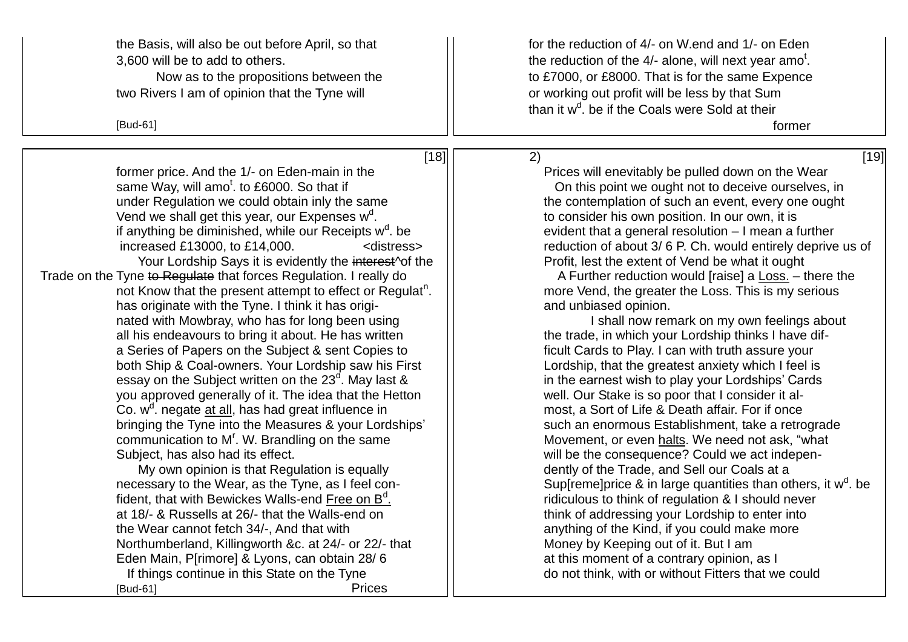the Basis, will also be out before April, so that  $\vert \vert$  for the reduction of 4/- on W.end and 1/- on Eden

two Rivers I am of opinion that the Tyne will **interest and the UV** or working out profit will be less by that Sum

former price. And the 1/- on Eden-main in the Prices will enevitably be pulled down on the Wear same Way, will amo<sup>t</sup>. to £6000. So that if under Regulation we could obtain inly the same  $\vert \vert$  the contemplation of such an event, every one ought Vend we shall get this year, our Expenses  $w^d$ . if anything be diminished, while our Receipts  $w<sup>d</sup>$ . be Your Lordship Says it is evidently the interest<sup>or</sup> the  $\vert \vert$  Profit, lest the extent of Vend be what it ought Trade on the Tyne to Regulate that forces Regulation. I really do A Further reduction would [raise] a Loss. – there the not Know that the present attempt to effect or Regulat<sup>n</sup>. has originate with the Tyne. I think it has origi- and unbiased opinion. nated with Mowbray, who has for long been using  $\Box$ all his endeavours to bring it about. He has written  $\vert \vert$  the trade, in which your Lordship thinks I have difa Series of Papers on the Subject & sent Copies to Fig. Fig. 6. Fig. 6. Fig. 1 can with truth assure your both Ship & Coal-owners. Your Lordship saw his First  $\vert \vert$  Lordship, that the greatest anxiety which I feel is essay on the Subject written on the  $23<sup>d</sup>$ . May last & you approved generally of it. The idea that the Hetton  $\|\cdot\|$  well. Our Stake is so poor that I consider it al-Co.  $w^d$ . negate at all, has had great influence in bringing the Tyne into the Measures & your Lordships'  $\vert \vert$  such an enormous Establishment, take a retrograde communication to  $M<sup>r</sup>$ . W. Brandling on the same Subject, has also had its effect.  $||$  will be the consequence? Could we act indepen-

My own opinion is that Regulation is equally  $\vert$   $\vert$  dently of the Trade, and Sell our Coals at a fident, that with Bewickes Walls-end Free on  $B<sup>d</sup>$ . at 18/- & Russells at 26/- that the Walls-end on  $\vert$  think of addressing your Lordship to enter into the Wear cannot fetch  $34/$ -, And that with  $\vert \vert$  anything of the Kind, if you could make more Northumberland, Killingworth &c. at  $24/-$  or  $22/-$  that  $\vert$  Money by Keeping out of it. But I am Eden Main, P[rimore] & Lyons, can obtain 28/ 6 at this moment of a contrary opinion, as I If things continue in this State on the Tyne  $||$  do not think, with or without Fitters that we could [Bud-61] Prices

3,600 will be to add to others.  $\vert\vert$  the reduction of the 4/- alone, will next year amo<sup>t</sup>. Now as to the propositions between the to E7000, or £8000. That is for the same Expence than it w<sup>d</sup>. be if the Coals were Sold at their

 $[18]$   $[19]$ 

[Bud-61] former

. On this point we ought not to deceive ourselves, in . to consider his own position. In our own, it is evident that a general resolution  $-1$  mean a further increased £13000, to £14,000.  $\leq$  <distress>  $\leq$  reduction of about 3/6 P. Ch. would entirely deprive us of

more Vend, the greater the Loss. This is my serious

in the earnest wish to play your Lordships' Cards most, a Sort of Life & Death affair. For if once Movement, or even halts. We need not ask, "what necessary to the Wear, as the Tyne, as I feel con-  $||$  Sup[reme]price & in large quantities than others, it w<sup>d</sup>. be . ridiculous to think of regulation & I should never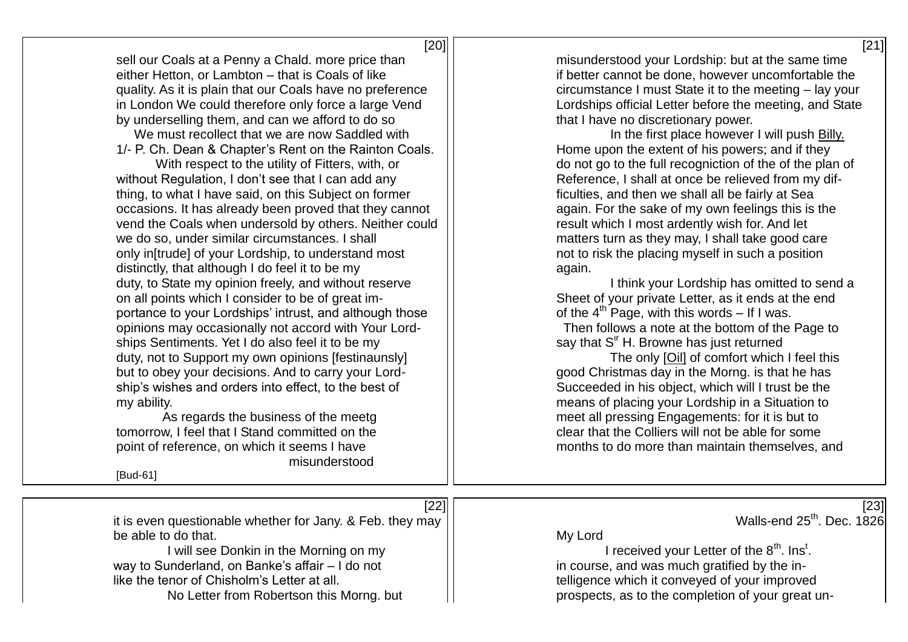| [20] | ادم | - 11 |
|------|-----|------|
|------|-----|------|

sell our Coals at a Penny a Chald. more price than  $\vert \vert$  misunderstood your Lordship: but at the same time either Hetton, or Lambton – that is Coals of like in the intermal if better cannot be done, however uncomfortable the quality. As it is plain that our Coals have no preference  $\|\cdot\|$  circumstance I must State it to the meeting – lay your in London We could therefore only force a large Vend  $\Box$  Lordships official Letter before the meeting, and State by underselling them, and can we afford to do so that I have no discretionary power.<br>We must recollect that we are now Saddled with  $\frac{1}{1}$  let the first place however I will push Billy.

We must recollect that we are now Saddled with 1/- P. Ch. Dean & Chapter's Rent on the Rainton Coals.  $||$  Home upon the extent of his powers; and if they

without Regulation, I don't see that I can add any  $\vert \vert$  Reference, I shall at once be relieved from my difthing, to what I have said, on this Subject on former  $\vert \vert$  ficulties, and then we shall all be fairly at Sea occasions. It has already been proved that they cannot  $\|\cdot\|$  again. For the sake of my own feelings this is the vend the Coals when undersold by others. Neither could  $\Box$  result which I most ardently wish for. And let we do so, under similar circumstances. I shall matters turn as they may, I shall take good care only in[trude] of your Lordship, to understand most  $\vert \vert$  not to risk the placing myself in such a position distinctly, that although I do feel it to be my  $||$  again. duty, to State my opinion freely, and without reserve  $\frac{1}{1}$  external think your Lordship has omitted to send a on all points which I consider to be of great im-<br>
Sheet of your private Letter, as it ends at the end portance to your Lordships' intrust, and although those  $\|\cdot\|$  of the 4<sup>th</sup> Page, with this words – If I was. opinions may occasionally not accord with Your Lord- Then follows a note at the bottom of the Page to ships Sentiments. Yet I do also feel it to be my say that S<sup>ir</sup> H. Browne has just returned duty, not to Support my own opinions [festinaunsly] The only [Oil] of comfort which I feel this but to obey your decisions. And to carry your Lord-  $\vert \vert$  good Christmas day in the Morng, is that he has ship's wishes and orders into effect, to the best of  $\vert \vert$  Succeeded in his object, which will I trust be the my ability. means of placing your Lordship in a Situation to

misunderstood

[Bud-61]

With respect to the utility of Fitters, with, or  $\vert \vert$  do not go to the full recogniction of the of the plan of

As regards the business of the meetg and meet all pressing Engagements: for it is but to tomorrow. I feel that I Stand committed on the clear clear that the Colliers will not be able for some point of reference, on which it seems I have **not contain themselves** and months to do more than maintain themselves, and

| [22]                                                      | [23]                                                               |
|-----------------------------------------------------------|--------------------------------------------------------------------|
| it is even questionable whether for Jany. & Feb. they may | Walls-end 25 <sup>th</sup> . Dec. 1826                             |
| be able to do that.                                       | My Lord                                                            |
| I will see Donkin in the Morning on my                    | I received your Letter of the 8 <sup>th</sup> . Ins <sup>t</sup> . |
| way to Sunderland, on Banke's affair - I do not           | in course, and was much gratified by the in-                       |
| like the tenor of Chisholm's Letter at all.               | telligence which it conveyed of your improved                      |
| No Letter from Robertson this Morng. but                  | prospects, as to the completion of your great un-                  |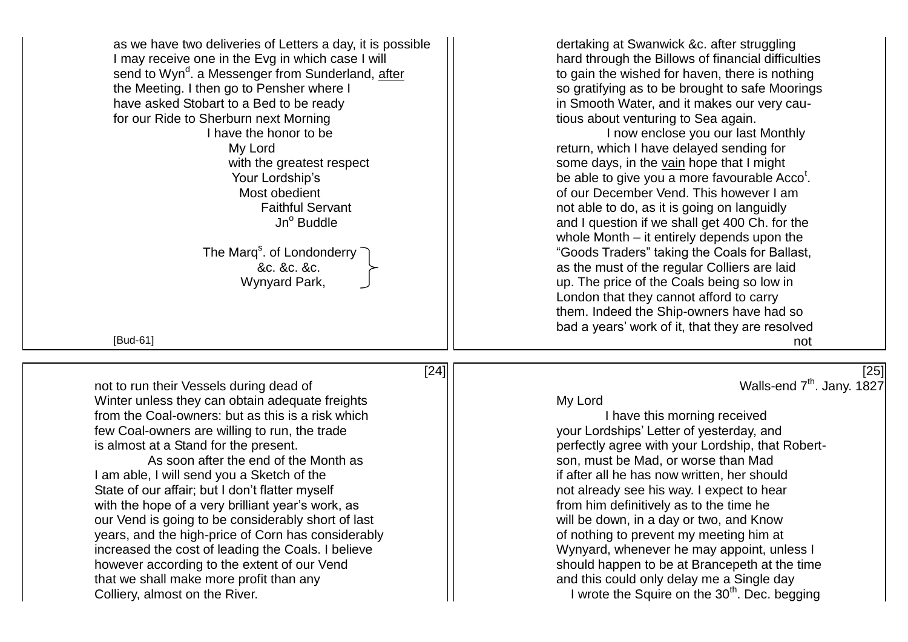| as we have two deliveries of Letters a day, it is possible<br>I may receive one in the Evg in which case I will<br>send to Wyn <sup>d</sup> . a Messenger from Sunderland, after<br>the Meeting. I then go to Pensher where I<br>have asked Stobart to a Bed to be ready<br>for our Ride to Sherburn next Morning<br>I have the honor to be<br>My Lord<br>with the greatest respect<br>Your Lordship's<br>Most obedient<br><b>Faithful Servant</b><br>Jn <sup>o</sup> Buddle<br>The Marq <sup>s</sup> . of Londonderry<br>&c. &c. &c.<br>Wynyard Park,<br>[Bud-61] | dertaking at Swanwick &c. after struggling<br>hard through the Billows of financial difficulties<br>to gain the wished for haven, there is nothing<br>so gratifying as to be brought to safe Moorings<br>in Smooth Water, and it makes our very cau-<br>tious about venturing to Sea again.<br>I now enclose you our last Monthly<br>return, which I have delayed sending for<br>some days, in the vain hope that I might<br>be able to give you a more favourable Acco <sup>t</sup> .<br>of our December Vend. This however I am<br>not able to do, as it is going on languidly<br>and I question if we shall get 400 Ch. for the<br>whole Month – it entirely depends upon the<br>"Goods Traders" taking the Coals for Ballast,<br>as the must of the regular Colliers are laid<br>up. The price of the Coals being so low in<br>London that they cannot afford to carry<br>them. Indeed the Ship-owners have had so<br>bad a years' work of it, that they are resolved<br>not |
|--------------------------------------------------------------------------------------------------------------------------------------------------------------------------------------------------------------------------------------------------------------------------------------------------------------------------------------------------------------------------------------------------------------------------------------------------------------------------------------------------------------------------------------------------------------------|----------------------------------------------------------------------------------------------------------------------------------------------------------------------------------------------------------------------------------------------------------------------------------------------------------------------------------------------------------------------------------------------------------------------------------------------------------------------------------------------------------------------------------------------------------------------------------------------------------------------------------------------------------------------------------------------------------------------------------------------------------------------------------------------------------------------------------------------------------------------------------------------------------------------------------------------------------------------------------|
| [24]                                                                                                                                                                                                                                                                                                                                                                                                                                                                                                                                                               | [25]                                                                                                                                                                                                                                                                                                                                                                                                                                                                                                                                                                                                                                                                                                                                                                                                                                                                                                                                                                             |
| not to run their Vessels during dead of                                                                                                                                                                                                                                                                                                                                                                                                                                                                                                                            | Walls-end 7 <sup>th</sup> . Jany. 1827                                                                                                                                                                                                                                                                                                                                                                                                                                                                                                                                                                                                                                                                                                                                                                                                                                                                                                                                           |
| Winter unless they can obtain adequate freights                                                                                                                                                                                                                                                                                                                                                                                                                                                                                                                    | My Lord                                                                                                                                                                                                                                                                                                                                                                                                                                                                                                                                                                                                                                                                                                                                                                                                                                                                                                                                                                          |
| from the Coal-owners: but as this is a risk which                                                                                                                                                                                                                                                                                                                                                                                                                                                                                                                  | I have this morning received                                                                                                                                                                                                                                                                                                                                                                                                                                                                                                                                                                                                                                                                                                                                                                                                                                                                                                                                                     |
| few Coal-owners are willing to run, the trade                                                                                                                                                                                                                                                                                                                                                                                                                                                                                                                      | your Lordships' Letter of yesterday, and                                                                                                                                                                                                                                                                                                                                                                                                                                                                                                                                                                                                                                                                                                                                                                                                                                                                                                                                         |
| is almost at a Stand for the present.                                                                                                                                                                                                                                                                                                                                                                                                                                                                                                                              | perfectly agree with your Lordship, that Robert-                                                                                                                                                                                                                                                                                                                                                                                                                                                                                                                                                                                                                                                                                                                                                                                                                                                                                                                                 |
| As soon after the end of the Month as                                                                                                                                                                                                                                                                                                                                                                                                                                                                                                                              | son, must be Mad, or worse than Mad                                                                                                                                                                                                                                                                                                                                                                                                                                                                                                                                                                                                                                                                                                                                                                                                                                                                                                                                              |
| I am able, I will send you a Sketch of the                                                                                                                                                                                                                                                                                                                                                                                                                                                                                                                         | if after all he has now written, her should                                                                                                                                                                                                                                                                                                                                                                                                                                                                                                                                                                                                                                                                                                                                                                                                                                                                                                                                      |
| State of our affair; but I don't flatter myself                                                                                                                                                                                                                                                                                                                                                                                                                                                                                                                    | not already see his way. I expect to hear                                                                                                                                                                                                                                                                                                                                                                                                                                                                                                                                                                                                                                                                                                                                                                                                                                                                                                                                        |
| with the hope of a very brilliant year's work, as                                                                                                                                                                                                                                                                                                                                                                                                                                                                                                                  | from him definitively as to the time he                                                                                                                                                                                                                                                                                                                                                                                                                                                                                                                                                                                                                                                                                                                                                                                                                                                                                                                                          |
| our Vend is going to be considerably short of last                                                                                                                                                                                                                                                                                                                                                                                                                                                                                                                 | will be down, in a day or two, and Know                                                                                                                                                                                                                                                                                                                                                                                                                                                                                                                                                                                                                                                                                                                                                                                                                                                                                                                                          |
| years, and the high-price of Corn has considerably                                                                                                                                                                                                                                                                                                                                                                                                                                                                                                                 | of nothing to prevent my meeting him at                                                                                                                                                                                                                                                                                                                                                                                                                                                                                                                                                                                                                                                                                                                                                                                                                                                                                                                                          |
| increased the cost of leading the Coals. I believe                                                                                                                                                                                                                                                                                                                                                                                                                                                                                                                 | Wynyard, whenever he may appoint, unless I                                                                                                                                                                                                                                                                                                                                                                                                                                                                                                                                                                                                                                                                                                                                                                                                                                                                                                                                       |
| however according to the extent of our Vend                                                                                                                                                                                                                                                                                                                                                                                                                                                                                                                        | should happen to be at Brancepeth at the time                                                                                                                                                                                                                                                                                                                                                                                                                                                                                                                                                                                                                                                                                                                                                                                                                                                                                                                                    |
| that we shall make more profit than any                                                                                                                                                                                                                                                                                                                                                                                                                                                                                                                            | and this could only delay me a Single day                                                                                                                                                                                                                                                                                                                                                                                                                                                                                                                                                                                                                                                                                                                                                                                                                                                                                                                                        |
| Colliery, almost on the River.                                                                                                                                                                                                                                                                                                                                                                                                                                                                                                                                     | I wrote the Squire on the 30 <sup>th</sup> . Dec. begging                                                                                                                                                                                                                                                                                                                                                                                                                                                                                                                                                                                                                                                                                                                                                                                                                                                                                                                        |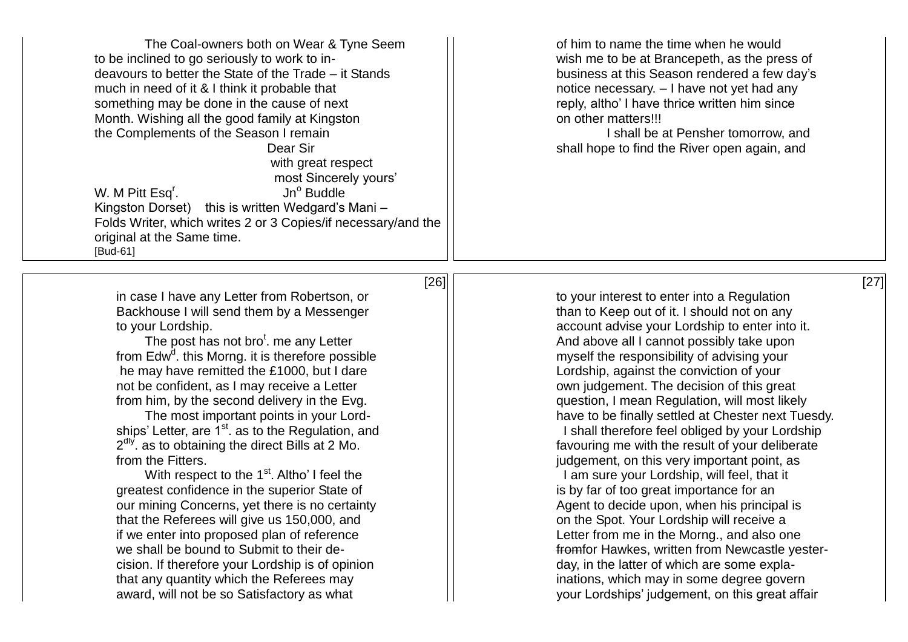The Coal-owners both on Wear & Tyne Seem  $\vert \cdot \vert$  of him to name the time when he would to be inclined to go seriously to work to in- wish me to be at Brancepeth, as the press of deavours to better the State of the Trade – it Stands  $\vert$  business at this Season rendered a few day's much in need of it & I think it probable that  $\vert \vert$  notice necessary. – I have not yet had any something may be done in the cause of next  $\vert \vert$  reply, altho' I have thrice written him since Month. Wishing all the good family at Kingston **business** and on other matters!!! the Complements of the Season I remain I shall be at Pensher tomorrow, and Dear Sir Solution  $\vert \vert$  shall hope to find the River open again, and with great respect most Sincerely yours' W. M Pitt Esq<sup>r</sup>.  $Jn<sup>o</sup>$  Buddle Kingston Dorset) this is written Wedgard's Mani – Folds Writer, which writes 2 or 3 Copies/if necessary/and the original at the Same time. [Bud-61]  $[26]$  [27]

in case I have any Letter from Robertson, or  $\vert \vert$  to your interest to enter into a Regulation Backhouse I will send them by a Messenger **than to Keep out of it. I should not on any** 

The post has not bro<sup>t</sup>, me any Letter from Edw<sup>d</sup>, this Morng, it is therefore possible he may have remitted the £1000, but I dare  $\vert$   $\vert$  Lordship, against the conviction of your not be confident, as I may receive a Letter  $||$  own judgement. The decision of this great

greatest confidence in the superior State of **interpretional contract in the superior State of interpretion** is by far of too great importance for an our mining Concerns, vet there is no certainty Agent to decide upon, when his principal is that the Referees will give us 150,000, and  $\vert\vert$  on the Spot. Your Lordship will receive a if we enter into proposed plan of reference  $\vert \vert$  Letter from me in the Morng., and also one cision. If therefore your Lordship is of opinion  $\vert \vert$   $\vert$   $\vert$  day, in the latter of which are some explathat any quantity which the Referees may included in the inations, which may in some degree govern award, will not be so Satisfactory as what your Lordships' judgement, on this great affair

to your Lordship. account advise your Lordship to enter into it. And above all I cannot possibly take upon myself the responsibility of advising your from him, by the second delivery in the Evg.  $\vert \vert$  question, I mean Regulation, will most likely The most important points in your Lord-<br>  $\vert \vert$  have to be finally settled at Chester next Tuesdy. ships' Letter, are  $1^{\text{st}}$ , as to the Regulation, and  $1$  shall therefore feel obliged by your Lordship  $2<sup>dy</sup>$  as to obtaining the direct Bills at 2 Mo.  $\vert$  favouring me with the result of your deliberate from the Fitters.<br>With respect to the 1<sup>st</sup>. Altho' I feel the **integral controlled and the set of the 1st** and the 1st am sure your Lordship, will feel, that it I am sure your Lordship, will feel, that it we shall be bound to Submit to their de-<br>  $\vert \vert$  from Hawkes, written from Newcastle yester-